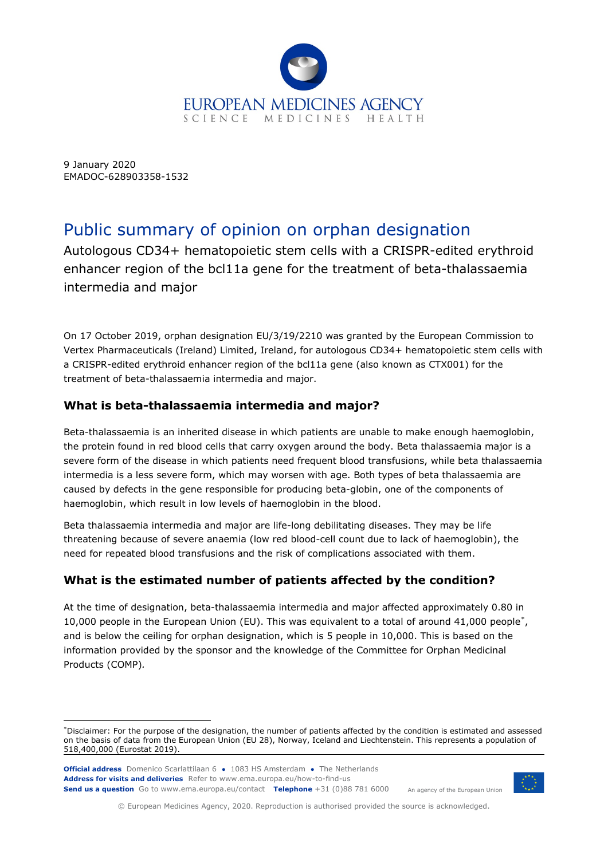

9 January 2020 EMADOC-628903358-1532

# Public summary of opinion on orphan designation

Autologous CD34+ hematopoietic stem cells with a CRISPR-edited erythroid enhancer region of the bcl11a gene for the treatment of beta-thalassaemia intermedia and major

On 17 October 2019, orphan designation EU/3/19/2210 was granted by the European Commission to Vertex Pharmaceuticals (Ireland) Limited, Ireland, for autologous CD34+ hematopoietic stem cells with a CRISPR-edited erythroid enhancer region of the bcl11a gene (also known as CTX001) for the treatment of beta-thalassaemia intermedia and major.

## **What is beta-thalassaemia intermedia and major?**

Beta-thalassaemia is an inherited disease in which patients are unable to make enough haemoglobin, the protein found in red blood cells that carry oxygen around the body. Beta thalassaemia major is a severe form of the disease in which patients need frequent blood transfusions, while beta thalassaemia intermedia is a less severe form, which may worsen with age. Both types of beta thalassaemia are caused by defects in the gene responsible for producing beta-globin, one of the components of haemoglobin, which result in low levels of haemoglobin in the blood.

Beta thalassaemia intermedia and major are life-long debilitating diseases. They may be life threatening because of severe anaemia (low red blood-cell count due to lack of haemoglobin), the need for repeated blood transfusions and the risk of complications associated with them.

# **What is the estimated number of patients affected by the condition?**

At the time of designation, beta-thalassaemia intermedia and major affected approximately 0.80 in 10,000 people in the European Union (EU). This was equivalent to a total of around 41,000 people[\\*](#page-0-0), and is below the ceiling for orphan designation, which is 5 people in 10,000. This is based on the information provided by the sponsor and the knowledge of the Committee for Orphan Medicinal Products (COMP)*.*

<span id="page-0-0"></span><sup>\*</sup>Disclaimer: For the purpose of the designation, the number of patients affected by the condition is estimated and assessed on the basis of data from the European Union (EU 28), Norway, Iceland and Liechtenstein. This represents a population of 518,400,000 (Eurostat 2019).





© European Medicines Agency, 2020. Reproduction is authorised provided the source is acknowledged.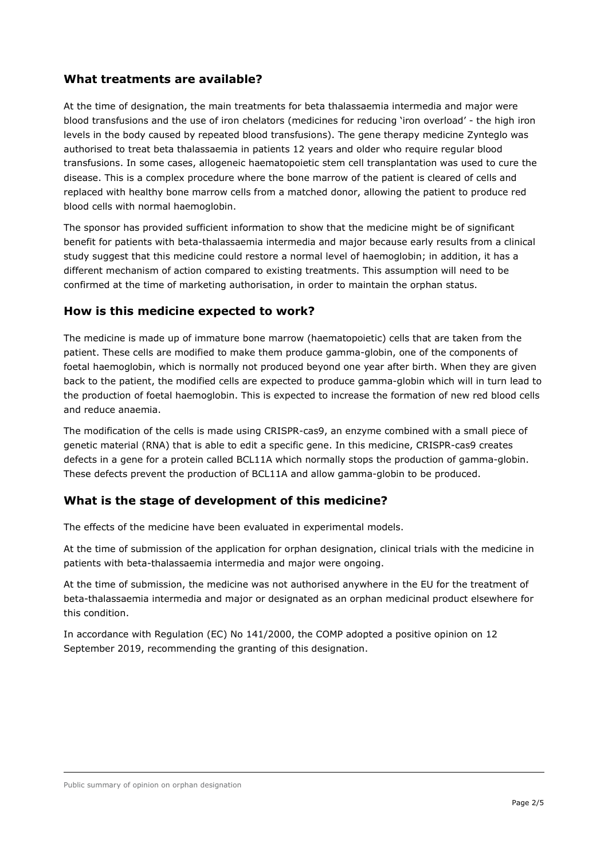#### **What treatments are available?**

At the time of designation, the main treatments for beta thalassaemia intermedia and major were blood transfusions and the use of iron chelators (medicines for reducing 'iron overload' - the high iron levels in the body caused by repeated blood transfusions). The gene therapy medicine Zynteglo was authorised to treat beta thalassaemia in patients 12 years and older who require regular blood transfusions. In some cases, allogeneic haematopoietic stem cell transplantation was used to cure the disease. This is a complex procedure where the bone marrow of the patient is cleared of cells and replaced with healthy bone marrow cells from a matched donor, allowing the patient to produce red blood cells with normal haemoglobin.

The sponsor has provided sufficient information to show that the medicine might be of significant benefit for patients with beta-thalassaemia intermedia and major because early results from a clinical study suggest that this medicine could restore a normal level of haemoglobin; in addition, it has a different mechanism of action compared to existing treatments. This assumption will need to be confirmed at the time of marketing authorisation, in order to maintain the orphan status.

#### **How is this medicine expected to work?**

The medicine is made up of immature bone marrow (haematopoietic) cells that are taken from the patient. These cells are modified to make them produce gamma-globin, one of the components of foetal haemoglobin, which is normally not produced beyond one year after birth. When they are given back to the patient, the modified cells are expected to produce gamma-globin which will in turn lead to the production of foetal haemoglobin. This is expected to increase the formation of new red blood cells and reduce anaemia.

The modification of the cells is made using CRISPR-cas9, an enzyme combined with a small piece of genetic material (RNA) that is able to edit a specific gene. In this medicine, CRISPR-cas9 creates defects in a gene for a protein called BCL11A which normally stops the production of gamma-globin. These defects prevent the production of BCL11A and allow gamma-globin to be produced.

#### **What is the stage of development of this medicine?**

The effects of the medicine have been evaluated in experimental models.

At the time of submission of the application for orphan designation, clinical trials with the medicine in patients with beta-thalassaemia intermedia and major were ongoing.

At the time of submission, the medicine was not authorised anywhere in the EU for the treatment of beta-thalassaemia intermedia and major or designated as an orphan medicinal product elsewhere for this condition.

In accordance with Regulation (EC) No 141/2000, the COMP adopted a positive opinion on 12 September 2019, recommending the granting of this designation.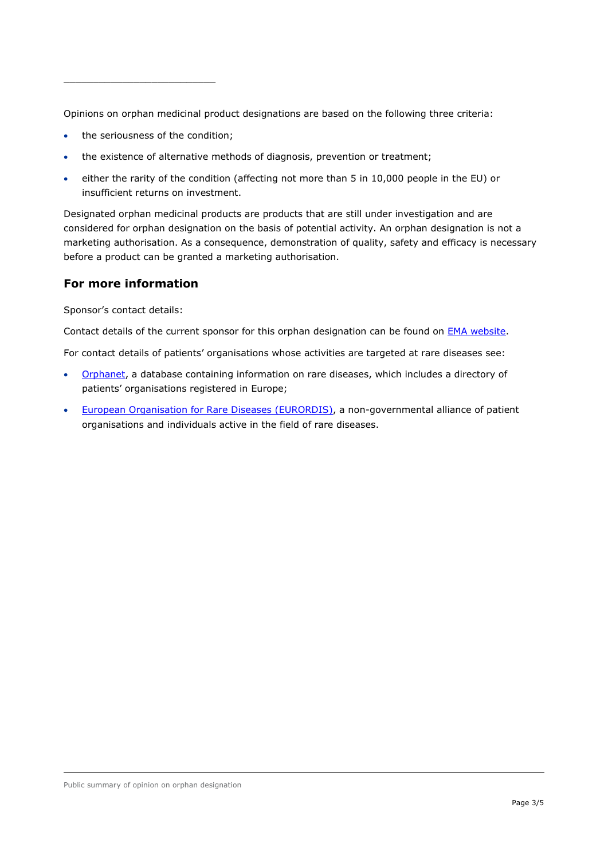\_\_\_\_\_\_\_\_\_\_\_\_\_\_\_\_\_\_\_\_\_\_\_\_\_\_

Opinions on orphan medicinal product designations are based on the following three criteria:

- the seriousness of the condition;
- the existence of alternative methods of diagnosis, prevention or treatment;
- either the rarity of the condition (affecting not more than 5 in 10,000 people in the EU) or insufficient returns on investment.

Designated orphan medicinal products are products that are still under investigation and are considered for orphan designation on the basis of potential activity. An orphan designation is not a marketing authorisation. As a consequence, demonstration of quality, safety and efficacy is necessary before a product can be granted a marketing authorisation.

#### **For more information**

Sponsor's contact details:

Contact details of the current sponsor for this orphan designation can be found on [EMA website.](https://www.ema.europa.eu/en/medicines/field_ema_web_categories%253Aname_field/Human/ema_group_types/ema_orphan)

For contact details of patients' organisations whose activities are targeted at rare diseases see:

- [Orphanet,](http://www.orpha.net/consor/cgi-bin/index.php) a database containing information on rare diseases, which includes a directory of patients' organisations registered in Europe;
- [European Organisation for Rare Diseases \(EURORDIS\),](https://www.eurordis.org/disease_search) a non-governmental alliance of patient organisations and individuals active in the field of rare diseases.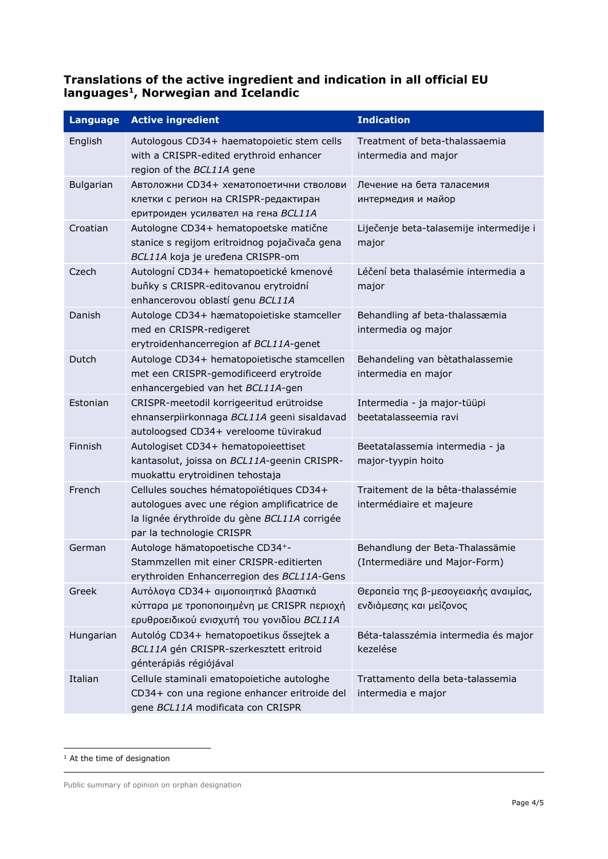### **Translations of the active ingredient and indication in all official EU languages[1](#page-3-0), Norwegian and Icelandic**

| <b>Language</b>  | <b>Active ingredient</b>                                                                                                                                             | <b>Indication</b>                                                |
|------------------|----------------------------------------------------------------------------------------------------------------------------------------------------------------------|------------------------------------------------------------------|
| English          | Autologous CD34+ haematopoietic stem cells<br>with a CRISPR-edited erythroid enhancer<br>region of the BCL11A gene                                                   | Treatment of beta-thalassaemia<br>intermedia and major           |
| <b>Bulgarian</b> | Автоложни CD34+ хематопоетични стволови<br>клетки с регион на CRISPR-редактиран<br>еритроиден усилвател на гена BCL11A                                               | Лечение на бета таласемия<br>интермедия и майор                  |
| Croatian         | Autologne CD34+ hematopoetske matične<br>stanice s regijom eritroidnog pojačivača gena<br>BCL11A koja je uređena CRISPR-om                                           | Liječenje beta-talasemije intermedije i<br>major                 |
| Czech            | Autologní CD34+ hematopoetické kmenové<br>buňky s CRISPR-editovanou erytroidní<br>enhancerovou oblastí genu BCL11A                                                   | Léčení beta thalasémie intermedia a<br>major                     |
| Danish           | Autologe CD34+ hæmatopoietiske stamceller<br>med en CRISPR-redigeret<br>erytroidenhancerregion af BCL11A-genet                                                       | Behandling af beta-thalassæmia<br>intermedia og major            |
| Dutch            | Autologe CD34+ hematopoietische stamcellen<br>met een CRISPR-gemodificeerd erytroïde<br>enhancergebied van het BCL11A-gen                                            | Behandeling van bètathalassemie<br>intermedia en major           |
| Estonian         | CRISPR-meetodil korrigeeritud erütroidse<br>ehnanserpiirkonnaga BCL11A geeni sisaldavad<br>autoloogsed CD34+ vereloome tüvirakud                                     | Intermedia - ja major-tüüpi<br>beetatalasseemia ravi             |
| Finnish          | Autologiset CD34+ hematopoieettiset<br>kantasolut, joissa on BCL11A-geenin CRISPR-<br>muokattu erytroidinen tehostaja                                                | Beetatalassemia intermedia - ja<br>major-tyypin hoito            |
| French           | Cellules souches hématopoïétiques CD34+<br>autologues avec une région amplificatrice de<br>la lignée érythroïde du gène BCL11A corrigée<br>par la technologie CRISPR | Traitement de la bêta-thalassémie<br>intermédiaire et majeure    |
| German           | Autologe hämatopoetische CD34+-<br>Stammzellen mit einer CRISPR-editierten<br>erythroiden Enhancerregion des BCL11A-Gens                                             | Behandlung der Beta-Thalassämie<br>(Intermediäre und Major-Form) |
| Greek            | Αυτόλογα CD34+ αιμοποιητικά βλαστικά<br>κύτταρα με τροποποιημένη με CRISPR περιοχή<br>ερυθροειδικού ενισχυτή του γονιδίου BCL11A                                     | Θεραπεία της β-μεσογειακής αναιμίας,<br>ενδιάμεσης και μείζονος  |
| Hungarian        | Autológ CD34+ hematopoetikus őssejtek a<br>BCL11A gén CRISPR-szerkesztett eritroid<br>génterápiás régiójával                                                         | Béta-talasszémia intermedia és major<br>kezelése                 |
| Italian          | Cellule staminali ematopoietiche autologhe<br>CD34+ con una regione enhancer eritroide del<br>gene BCL11A modificata con CRISPR                                      | Trattamento della beta-talassemia<br>intermedia e major          |

<span id="page-3-0"></span><sup>&</sup>lt;sup>1</sup> At the time of designation

Public summary of opinion on orphan designation